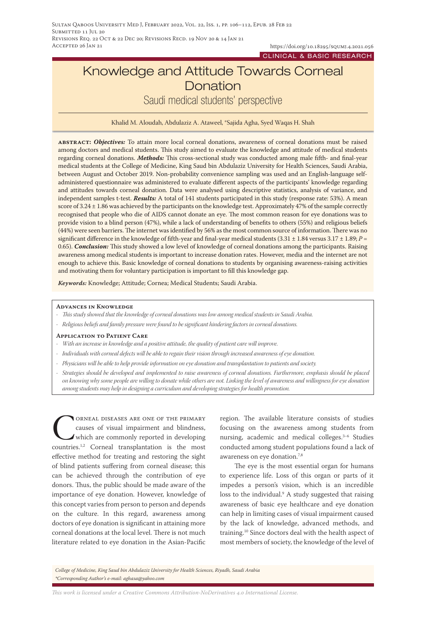https://doi.org/10.18295/squmj.4.2021.056 CLINICAL & BASIC RESEARCH

# Knowledge and Attitude Towards Corneal **Donation**

Saudi medical students' perspective

Khalid M. Aloudah, Abdulaziz A. Ataweel, \*Sajida Agha, Syed Waqas H. Shah

**abstract:** *Objectives:* To attain more local corneal donations, awareness of corneal donations must be raised among doctors and medical students. This study aimed to evaluate the knowledge and attitude of medical students regarding corneal donations. *Methods:* This cross-sectional study was conducted among male fifth- and final-year medical students at the College of Medicine, King Saud bin Abdulaziz University for Health Sciences, Saudi Arabia, between August and October 2019. Non-probability convenience sampling was used and an English-language selfadministered questionnaire was administered to evaluate different aspects of the participants' knowledge regarding and attitudes towards corneal donation. Data were analysed using descriptive statistics, analysis of variance, and independent samples t-test. *Results:* A total of 141 students participated in this study (response rate: 53%). A mean score of 3.24 ± 1.86 was achieved by the participants on the knowledge test. Approximately 47% of the sample correctly recognised that people who die of AIDS cannot donate an eye. The most common reason for eye donations was to provide vision to a blind person (47%), while a lack of understanding of benefits to others (55%) and religious beliefs (44%) were seen barriers. The internet was identified by 56% as the most common source of information. There was no significant difference in the knowledge of fifth-year and final-year medical students (3.31 ± 1.84 versus 3.17 ± 1.89; *P* = 0.65). *Conclusion:* This study showed a low level of knowledge of corneal donations among the participants. Raising awareness among medical students is important to increase donation rates. However, media and the internet are not enough to achieve this. Basic knowledge of corneal donations to students by organising awareness-raising activities and motivating them for voluntary participation is important to fill this knowledge gap.

*Keywords:* Knowledge; Attitude; Cornea; Medical Students; Saudi Arabia.

#### **Advances in Knowledge**

- *- This study showed that the knowledge of corneal donations was low among medical students in Saudi Arabia.*
- *- Religious beliefs and family pressure were found to be significant hindering factors in corneal donations.*

#### **Application to Patient Care**

- *- With an increase in knowledge and a positive attitude, the quality of patient care will improve.*
- *- Individuals with corneal defects will be able to regain their vision through increased awareness of eye donation.*
- *- Physicians will be able to help provide information on eye donation and transplantation to patients and society.*
- *- Strategies should be developed and implemented to raise awareness of corneal donations. Furthermore, emphasis should be placed on knowing why some people are willing to donate while others are not. Linking the level of awareness and willingness for eye donation among students may help in designing a curriculum and developing strategies for health promotion.*

CORNEAL DISEASES ARE ONE OF THE PRIMARY<br>causes of visual impairment and blindness,<br>which are commonly reported in developing<br>countries.<sup>1,2</sup> Corneal transplantation is the most causes of visual impairment and blindness, which are commonly reported in developing countries.1,2 Corneal transplantation is the most effective method for treating and restoring the sight of blind patients suffering from corneal disease; this can be achieved through the contribution of eye donors. Thus, the public should be made aware of the importance of eye donation. However, knowledge of this concept varies from person to person and depends on the culture. In this regard, awareness among doctors of eye donation is significant in attaining more corneal donations at the local level. There is not much literature related to eye donation in the Asian-Pacific

region. The available literature consists of studies focusing on the awareness among students from nursing, academic and medical colleges.<sup>3-6</sup> Studies conducted among student populations found a lack of awareness on eye donation.7,8

The eye is the most essential organ for humans to experience life. Loss of this organ or parts of it impedes a person's vision, which is an incredible loss to the individual.<sup>9</sup> A study suggested that raising awareness of basic eye healthcare and eye donation can help in limiting cases of visual impairment caused by the lack of knowledge, advanced methods, and training.10 Since doctors deal with the health aspect of most members of society, the knowledge of the level of

*College of Medicine, King Saud bin Abdulaziz University for Health Sciences, Riyadh, Saudi Arabia \*Corresponding Author's e-mail: aghasa@yahoo.com*

*This work is licensed under a [Creative Commons Attribution-NoDerivatives 4.0 International License.](https://creativecommons.org/licenses/by-nd/4.0/)*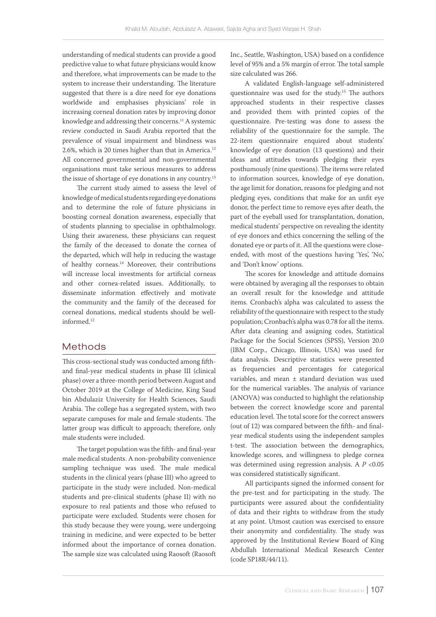understanding of medical students can provide a good predictive value to what future physicians would know and therefore, what improvements can be made to the system to increase their understanding. The literature suggested that there is a dire need for eye donations worldwide and emphasises physicians' role in increasing corneal donation rates by improving donor knowledge and addressing their concerns.<sup>11</sup> A systemic review conducted in Saudi Arabia reported that the prevalence of visual impairment and blindness was 2.6%, which is 20 times higher than that in America.<sup>12</sup> All concerned governmental and non-governmental organisations must take serious measures to address the issue of shortage of eye donations in any country.<sup>13</sup>

The current study aimed to assess the level of knowledge of medical students regarding eye donations and to determine the role of future physicians in boosting corneal donation awareness, especially that of students planning to specialise in ophthalmology. Using their awareness, these physicians can request the family of the deceased to donate the cornea of the departed, which will help in reducing the wastage of healthy corneas.<sup>14</sup> Moreover, their contributions will increase local investments for artificial corneas and other cornea-related issues. Additionally, to disseminate information effectively and motivate the community and the family of the deceased for corneal donations, medical students should be wellinformed.12

## Methods

This cross-sectional study was conducted among fifthand final-year medical students in phase III (clinical phase) over a three-month period between August and October 2019 at the College of Medicine, King Saud bin Abdulaziz University for Health Sciences, Saudi Arabia. The college has a segregated system, with two separate campuses for male and female students. The latter group was difficult to approach; therefore, only male students were included.

The target population was the fifth- and final-year male medical students. A non-probability convenience sampling technique was used. The male medical students in the clinical years (phase III) who agreed to participate in the study were included. Non-medical students and pre-clinical students (phase II) with no exposure to real patients and those who refused to participate were excluded. Students were chosen for this study because they were young, were undergoing training in medicine, and were expected to be better informed about the importance of cornea donation. The sample size was calculated using Raosoft (Raosoft Inc., Seattle, Washington, USA) based on a confidence level of 95% and a 5% margin of error. The total sample size calculated was 266.

A validated English-language self-administered questionnaire was used for the study.15 The authors approached students in their respective classes and provided them with printed copies of the questionnaire. Pre-testing was done to assess the reliability of the questionnaire for the sample. The 22-item questionnaire enquired about students' knowledge of eye donation (13 questions) and their ideas and attitudes towards pledging their eyes posthumously (nine questions). The items were related to information sources, knowledge of eye donation, the age limit for donation, reasons for pledging and not pledging eyes, conditions that make for an unfit eye donor, the perfect time to remove eyes after death, the part of the eyeball used for transplantation, donation, medical students' perspective on revealing the identity of eye donors and ethics concerning the selling of the donated eye or parts of it. All the questions were closeended, with most of the questions having 'Yes', 'No,' and 'Don't know' options.

The scores for knowledge and attitude domains were obtained by averaging all the responses to obtain an overall result for the knowledge and attitude items. Cronbach's alpha was calculated to assess the reliability of the questionnaire with respect to the study population; Cronbach's alpha was 0.78 for all the items. After data cleaning and assigning codes, Statistical Package for the Social Sciences (SPSS), Version 20.0 (IBM Corp., Chicago, Illinois, USA) was used for data analysis. Descriptive statistics were presented as frequencies and percentages for categorical variables, and mean ± standard deviation was used for the numerical variables. The analysis of variance (ANOVA) was conducted to highlight the relationship between the correct knowledge score and parental education level. The total score for the correct answers (out of 12) was compared between the fifth- and finalyear medical students using the independent samples t-test. The association between the demographics, knowledge scores, and willingness to pledge cornea was determined using regression analysis. A *P* <0.05 was considered statistically significant.

All participants signed the informed consent for the pre-test and for participating in the study. The participants were assured about the confidentiality of data and their rights to withdraw from the study at any point. Utmost caution was exercised to ensure their anonymity and confidentiality. The study was approved by the Institutional Review Board of King Abdullah International Medical Research Center (code SP18R/44/11).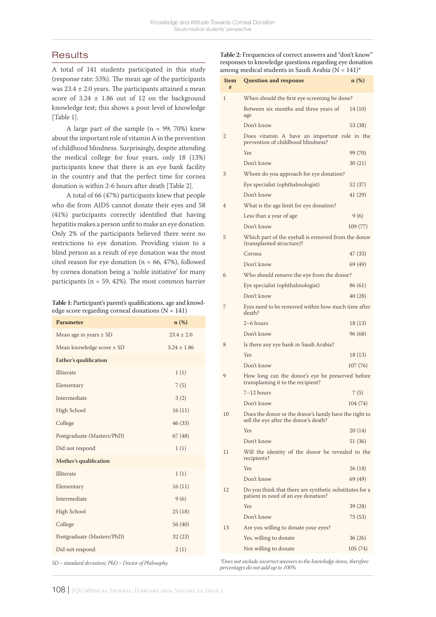# **Results**

A total of 141 students participated in this study (response rate: 53%). The mean age of the participants was  $23.4 \pm 2.0$  years. The participants attained a mean score of  $3.24 \pm 1.86$  out of 12 on the background knowledge test; this shows a poor level of knowledge [Table 1].

A large part of the sample  $(n = 99; 70%)$  knew about the important role of vitamin A in the prevention of childhood blindness. Surprisingly, despite attending the medical college for four years, only 18 (13%) participants knew that there is an eye bank facility in the country and that the perfect time for cornea donation is within 2-6 hours after death [Table 2].

A total of 66 (47%) participants knew that people who die from AIDS cannot donate their eyes and 58 (41%) participants correctly identified that having hepatitis makes a person unfit to make an eye donation. Only 2% of the participants believed there were no restrictions to eye donation. Providing vision to a blind person as a result of eye donation was the most cited reason for eye donation ( $n = 66, 47\%$ ), followed by cornea donation being a 'noble initiative' for many participants ( $n = 59, 42\%$ ). The most common barrier

**Table 1:** Participant's parent's qualifications, age and knowledge score regarding corneal donations  $(N = 141)$ 

| Parameter                                  | n(%)            |
|--------------------------------------------|-----------------|
| Mean age in years $\pm$ SD                 | $23.4 \pm 2.0$  |
| Mean knowledge score ± SD                  | $3.24 \pm 1.86$ |
| <b>Father's qualification</b>              |                 |
| Illiterate                                 | 1(1)            |
| Elementary                                 | 7(5)            |
| Intermediate                               | 3(2)            |
| High School                                | 16(11)          |
| College                                    | 46 (33)         |
| Postgraduate (Masters/PhD)                 | 67(48)          |
| Did not respond                            | 1(1)            |
| Mother's qualification                     |                 |
| Illiterate                                 | 1(1)            |
| Elementary                                 | 16(11)          |
| Intermediate                               | 9(6)            |
| High School                                | 25(18)          |
| College                                    | 56 (40)         |
| Postgraduate (Masters/PhD)                 | 32(23)          |
| Did not respond                            | 2(1)            |
| $1.1 \cdot 1.1$ $1.1 \cdot 1.1$<br>$C = 1$ |                 |

*SD = standard deviation; PhD = Doctor of Philosophy.*

**Table 2:** Frequencies of correct answers and "don't know" responses to knowledge questions regarding eye donation among medical students in Saudi Arabia ( $N = 141$ )\*

| Item<br># | <b>Question and response</b>                                                                    | $n$ (%)  |
|-----------|-------------------------------------------------------------------------------------------------|----------|
| 1         | When should the first eye screening be done?                                                    |          |
|           | Between six months and three years of<br>age                                                    | 14 (10)  |
|           | Don't know                                                                                      | 53 (38)  |
| 2         | Does vitamin A have an important role in the<br>prevention of childhood blindness?              |          |
|           | Yes                                                                                             | 99 (70)  |
|           | Don't know                                                                                      | 30(21)   |
| 3         | Whom do you approach for eye donation?                                                          |          |
|           | Eye specialist (ophthalmologist)                                                                | 52 (37)  |
|           | Don't know                                                                                      | 41 (29)  |
| 4         | What is the age limit for eye donation?                                                         |          |
|           | Less than a year of age                                                                         | 9(6)     |
|           | Don't know                                                                                      | 109(77)  |
| 5         | Which part of the eyeball is removed from the donor<br>(transplanted structure)?                |          |
|           | Cornea                                                                                          | 47 (33)  |
|           | Don't know                                                                                      | 69 (49)  |
| 6         | Who should remove the eye from the donor?                                                       |          |
|           | Eye specialist (ophthalmologist)                                                                | 86 (61)  |
|           | Don't know                                                                                      | 40(28)   |
| 7         | Eyes need to be removed within how much time after<br>death?                                    |          |
|           | $2-6$ hours                                                                                     | 18 (13)  |
|           | Don't know                                                                                      | 96 (68)  |
| 8         | Is there any eye bank in Saudi Arabia?                                                          |          |
|           | Yes                                                                                             | 18 (13)  |
|           | Don't know                                                                                      | 107 (76) |
| 9         | How long can the donor's eye be preserved before<br>transplanting it to the recipient?          |          |
|           | $7-12$ hours                                                                                    | 7(5)     |
|           | Don't know                                                                                      | 104(74)  |
| 10        | Does the donor or the donor's family have the right to<br>sell the eye after the donor's death? |          |
|           | Yes                                                                                             | 20 (14)  |
|           | Don't know                                                                                      | 51 (36)  |
| 11        | Will the identity of the donor be revealed to the<br>recipients?                                |          |
|           | Yes                                                                                             | 26 (18)  |
|           | Don't know                                                                                      | 69 (49)  |
| 12        | Do you think that there are synthetic substitutes for a<br>patient in need of an eye donation?  |          |
|           | Yes                                                                                             | 39 (28)  |
|           | Don't know                                                                                      | 75 (53)  |
| 13        | Are you willing to donate your eyes?                                                            |          |
|           | Yes, willing to donate                                                                          | 36 (26)  |
|           | Not willing to donate                                                                           | 105 (74) |

*\*Does not include incorrect answers to the knowledge items, therefore percentages do not add up to 100%.*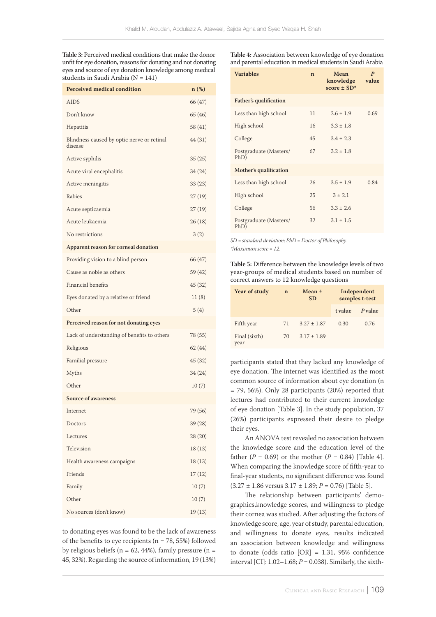**Table 3:** Perceived medical conditions that make the donor unfit for eye donation, reasons for donating and not donating eyes and source of eye donation knowledge among medical students in Saudi Arabia (N = 141)

| <b>Perceived medical condition</b>                    | $n$ (%) |
|-------------------------------------------------------|---------|
| <b>AIDS</b>                                           | 66 (47) |
| Don't know                                            | 65 (46) |
| Hepatitis                                             | 58 (41) |
| Blindness caused by optic nerve or retinal<br>disease | 44 (31) |
| Active syphilis                                       | 35(25)  |
| Acute viral encephalitis                              | 34 (24) |
| Active meningitis                                     | 33(23)  |
| Rabies                                                | 27(19)  |
| Acute septicaemia                                     | 27(19)  |
| Acute leukaemia                                       | 26(18)  |
| No restrictions                                       | 3(2)    |
| Apparent reason for corneal donation                  |         |
| Providing vision to a blind person                    | 66 (47) |
| Cause as noble as others                              | 59 (42) |
| Financial benefits                                    | 45 (32) |
| Eyes donated by a relative or friend                  | 11(8)   |
| Other                                                 | 5(4)    |
| Perceived reason for not donating eyes                |         |
| Lack of understanding of benefits to others           | 78 (55) |
| Religious                                             | 62(44)  |
| Familial pressure                                     | 45 (32) |
| Myths                                                 | 34 (24) |
| Other                                                 | 10(7)   |
| <b>Source of awareness</b>                            |         |
| Internet                                              | 79 (56) |
| Doctors                                               | 39(28)  |
| Lectures                                              | 28(20)  |
| Television                                            | 18(13)  |
| Health awareness campaigns                            | 18(13)  |
| Friends                                               | 17(12)  |
| Family                                                | 10(7)   |
| Other                                                 | 10(7)   |
| No sources (don't know)                               | 19(13)  |

to donating eyes was found to be the lack of awareness of the benefits to eye recipients ( $n = 78, 55\%$ ) followed by religious beliefs ( $n = 62$ , 44%), family pressure ( $n =$ 45, 32%). Regarding the source of information, 19 (13%)

**Table 4:** Association between knowledge of eye donation and parental education in medical students in Saudi Arabia

| <b>Variables</b>               | $\mathbf n$ | Mean<br>knowledge<br>score $\pm$ SD <sup>*</sup> | $\boldsymbol{P}$<br>value |
|--------------------------------|-------------|--------------------------------------------------|---------------------------|
| <b>Father's qualification</b>  |             |                                                  |                           |
| Less than high school          | 11          | $2.6 \pm 1.9$                                    | 0.69                      |
| High school                    | 16          | $3.3 \pm 1.8$                                    |                           |
| College                        | 45          | $3.4 \pm 2.3$                                    |                           |
| Postgraduate (Masters/<br>PhD) | 67          | $3.2 + 1.8$                                      |                           |
| Mother's qualification         |             |                                                  |                           |
| Less than high school          | 26          | $3.5 + 1.9$                                      | 0.84                      |
| High school                    | 25          | $3 \pm 2.1$                                      |                           |
| College                        | 56          | $3.3 \pm 2.6$                                    |                           |
| Postgraduate (Masters/<br>PhD) | 32          | $3.1 \pm 1.5$                                    |                           |

*SD = standard deviation; PhD = Doctor of Philosophy. \*Maximum score = 12.*

**Table 5:** Difference between the knowledge levels of two year-groups of medical students based on number of correct answers to 12 knowledge questions

| <b>Year of study</b>  | n  | Mean $\pm$<br><b>SD</b> | Independent<br>samples t-test |                |
|-----------------------|----|-------------------------|-------------------------------|----------------|
|                       |    |                         | t value                       | <i>P</i> value |
| Fifth year            | 71 | $3.27 + 1.87$           | 0.30                          | 0.76           |
| Final (sixth)<br>vear | 70 | $3.17 + 1.89$           |                               |                |

participants stated that they lacked any knowledge of eye donation. The internet was identified as the most common source of information about eye donation (n  $= 79, 56\%$ ). Only 28 participants (20%) reported that lectures had contributed to their current knowledge of eye donation [Table 3]. In the study population, 37 (26%) participants expressed their desire to pledge their eyes.

An ANOVA test revealed no association between the knowledge score and the education level of the father  $(P = 0.69)$  or the mother  $(P = 0.84)$  [Table 4]. When comparing the knowledge score of fifth-year to final-year students, no significant difference was found  $(3.27 \pm 1.86 \text{ versus } 3.17 \pm 1.89; P = 0.76)$  [Table 5].

The relationship between participants' demographics,knowledge scores, and willingness to pledge their cornea was studied. After adjusting the factors of knowledge score, age, year of study, parental education, and willingness to donate eyes, results indicated an association between knowledge and willingness to donate (odds ratio [OR] = 1.31, 95% confidence interval [CI]: 1.02–1.68; *P* = 0.038). Similarly, the sixth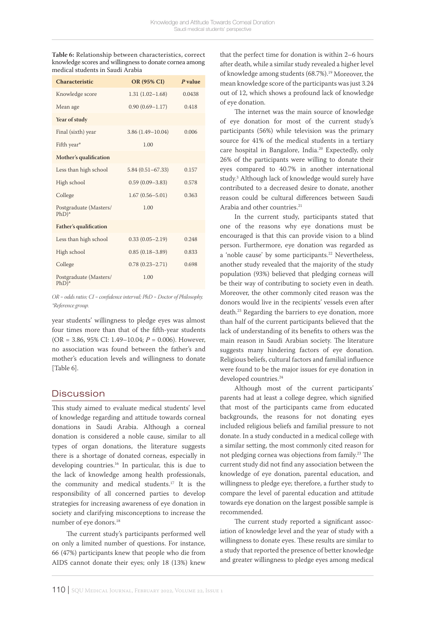**Table 6:** Relationship between characteristics, correct knowledge scores and willingness to donate cornea among medical students in Saudi Arabia

| Characteristic                    | OR (95% CI)          | $P$ value |
|-----------------------------------|----------------------|-----------|
| Knowledge score                   | $1.31(1.02 - 1.68)$  | 0.0438    |
| Mean age                          | $0.90(0.69 - 1.17)$  | 0.418     |
| Year of study                     |                      |           |
| Final (sixth) year                | $3.86(1.49 - 10.04)$ | 0.006     |
| Fifth year*                       | 1.00                 |           |
| Mother's qualification            |                      |           |
| Less than high school             | $5.84(0.51 - 67.33)$ | 0.157     |
| High school                       | $0.59(0.09 - 3.83)$  | 0.578     |
| College                           | $1.67(0.56 - 5.01)$  | 0.363     |
| Postgraduate (Masters/<br>$PhD)*$ | 1.00                 |           |
| <b>Father's qualification</b>     |                      |           |
| Less than high school             | $0.33(0.05 - 2.19)$  | 0.248     |
| High school                       | $0.85(0.18 - 3.89)$  | 0.833     |
| College                           | $0.78(0.23 - 2.71)$  | 0.698     |
| Postgraduate (Masters/<br>$PhD)*$ | 1.00                 |           |

*OR = odds ratio; CI = confidence interval; PhD = Doctor of Philosophy. \*Reference group.*

year students' willingness to pledge eyes was almost four times more than that of the fifth-year students (OR = 3.86, 95% CI: 1.49–10.04; *P* = 0.006). However, no association was found between the father's and mother's education levels and willingness to donate [Table 6].

# **Discussion**

This study aimed to evaluate medical students' level of knowledge regarding and attitude towards corneal donations in Saudi Arabia. Although a corneal donation is considered a noble cause, similar to all types of organ donations, the literature suggests there is a shortage of donated corneas, especially in developing countries.<sup>16</sup> In particular, this is due to the lack of knowledge among health professionals, the community and medical students.17 It is the responsibility of all concerned parties to develop strategies for increasing awareness of eye donation in society and clarifying misconceptions to increase the number of eye donors.<sup>18</sup>

The current study's participants performed well on only a limited number of questions. For instance, 66 (47%) participants knew that people who die from AIDS cannot donate their eyes; only 18 (13%) knew that the perfect time for donation is within 2–6 hours after death, while a similar study revealed a higher level of knowledge among students (68.7%).<sup>19</sup> Moreover, the mean knowledge score of the participants was just 3.24 out of 12, which shows a profound lack of knowledge of eye donation.

The internet was the main source of knowledge of eye donation for most of the current study's participants (56%) while television was the primary source for 41% of the medical students in a tertiary care hospital in Bangalore, India.<sup>20</sup> Expectedly, only 26% of the participants were willing to donate their eyes compared to 40.7% in another international study.3 Although lack of knowledge would surely have contributed to a decreased desire to donate, another reason could be cultural differences between Saudi Arabia and other countries.<sup>21</sup>

In the current study, participants stated that one of the reasons why eye donations must be encouraged is that this can provide vision to a blind person. Furthermore, eye donation was regarded as a 'noble cause' by some participants.<sup>22</sup> Nevertheless, another study revealed that the majority of the study population (93%) believed that pledging corneas will be their way of contributing to society even in death. Moreover, the other commonly cited reason was the donors would live in the recipients' vessels even after death.23 Regarding the barriers to eye donation, more than half of the current participants believed that the lack of understanding of its benefits to others was the main reason in Saudi Arabian society. The literature suggests many hindering factors of eye donation. Religious beliefs, cultural factors and familial influence were found to be the major issues for eye donation in developed countries.<sup>24</sup>

Although most of the current participants' parents had at least a college degree, which signified that most of the participants came from educated backgrounds, the reasons for not donating eyes included religious beliefs and familial pressure to not donate. In a study conducted in a medical college with a similar setting, the most commonly cited reason for not pledging cornea was objections from family.23 The current study did not find any association between the knowledge of eye donation, parental education, and willingness to pledge eye; therefore, a further study to compare the level of parental education and attitude towards eye donation on the largest possible sample is recommended.

The current study reported a significant association of knowledge level and the year of study with a willingness to donate eyes. These results are similar to a study that reported the presence of better knowledge and greater willingness to pledge eyes among medical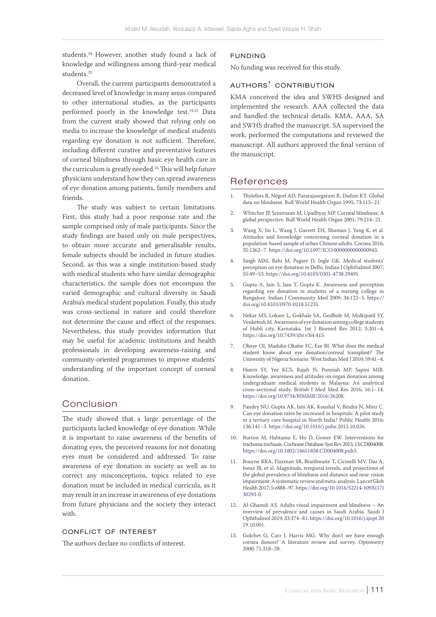students.24 However, another study found a lack of knowledge and willingness among third-year medical students.<sup>25</sup>

Overall, the current participants demonstrated a decreased level of knowledge in many areas compared to other international studies, as the participants performed poorly in the knowledge test.<sup>19,25</sup> Data from the current study showed that relying only on media to increase the knowledge of medical students regarding eye donation is not sufficient. Therefore, including different curative and preventative features of corneal blindness through basic eye health care in the curriculum is greatly needed.<sup>25</sup> This will help future physicians understand how they can spread awareness of eye donation among patients, family members and friends.

The study was subject to certain limitations. First, this study had a poor response rate and the sample comprised only of male participants. Since the study findings are based only on male perspectives, to obtain more accurate and generalisable results, female subjects should be included in future studies. Second, as this was a single institution-based study with medical students who have similar demographic characteristics, the sample does not encompass the varied demographic and cultural diversity in Saudi Arabia's medical student population. Finally, this study was cross-sectional in nature and could therefore not determine the cause and effect of the responses. Nevertheless, this study provides information that may be useful for academic institutions and health professionals in developing awareness-raising and community-oriented programmes to improve students' understanding of the important concept of corneal donation.

## Conclusion

The study showed that a large percentage of the participants lacked knowledge of eye donation. While it is important to raise awareness of the benefits of donating eyes, the perceived reasons for not donating eyes must be considered and addressed. To raise awareness of eye donation in society as well as to correct any misconceptions, topics related to eye donation must be included in medical curricula, as it may result in an increase in awareness of eye donations from future physicians and the society they interact with.

### conflict of interest

The authors declare no conflicts of interest.

#### funding

No funding was received for this study.

## authors' contribution

KMA conceived the idea and SWHS designed and implemented the research. AAA collected the data and handled the technical details. KMA, AAA, SA and SWHS drafted the manuscript. SA supervised the work, performed the computations and reviewed the manuscript. All authors approved the final version of the manuscript.

## References

- 1. Thylefors B, Négrel AD, Pararajasegaram R, Dadzie KY. Global data on blindness. Bull World Health Organ 1995; 73:115–21.
- 2. Whitcher JP, Srinivasan M, Upadhyay MP. Corneal blindness: A global perspective. Bull World Health Organ 2001; 79:214–21.
- 3. Wang X, Jin L, Wang J, Garrett EH, Shuman J, Yang K, et al. Attitudes and knowledge concerning corneal donation in a population-based sample of urban Chinese adults. Cornea 2016; 35:1362–7. [https://doi.org/10.1097/ICO.0000000000000943.](https://doi.org/10.1097/ICO.0000000000000943)
- Singh MM, Rahi M, Pagare D, Ingle GK. Medical students' perception on eye donation in Delhi. Indian J Ophthalmol 2007; 55:49–53.<https://doi.org/10.4103/0301-4738.29495>.
- 5. Gupta A, Jain S, Jain T, Gupta K. Awareness and perception regarding eye donation in students of a nursing college in Bangalore. Indian J Community Med 2009; 34:122–5. [https://](https://doi.org/10.4103/0970-0218.51235) [doi.org/10.4103/0970-0218.51235.](https://doi.org/10.4103/0970-0218.51235)
- 6. Nekar MS, Lokare L, Gokhale SA, Godbole M, Mulkipatil SY, Venketesh M. Awareness of eye donation among college students of Hubli city, Karnataka. Int J Biomed Res 2012; 3:201–4. <https://doi.org/10.7439/ijbr.v3i4.415>.
- 7. Okoye OI, Maduka-Okafor FC, Eze BI. What does the medical student know about eye donation/corneal transplant? The University of Nigeria Scenario. West Indian Med J 2010; 59:41–4.
- 8. Huern SY, Yee KCS, Rajah JS, Ponniah MP, Sapini MIB. Knowledge, awareness and attitudes on organ donation among undergraduate medical students in Malaysia: An analytical cross-sectional study. British J Med Med Res 2016; 16:1–14. <https://doi.org/10.9734/BJMMR/2016/26208>.
- 9. Pandey NU, Gupta AK, Jain AK, Koushal V, Bindra N, Minz C. Can eye donation rates be increased in hospitals: A pilot study in a tertiary care hospital in North India? Public Health 2016; 136:141–3. [https://doi.org/10.1016/j.puhe.2015.10.026.](https://doi.org/10.1016/j.puhe.2015.10.026)
- 10. Burton M, Habtamu E, Ho D, Gower EW. Interventions for trachoma trichiasis. Cochrane Database Syst Rev 2015; 13:CD004008. [https://doi.org/10.1002/14651858.CD004008.pub3.](https://doi.org/10.1002/14651858.CD004008.pub3)
- 11. Bourne RRA, Flaxman SR, Braithwaite T, Cicinelli MV, Das A, Jonas JB, et al. Magnitude, temporal trends, and projections of the global prevalence of blindness and distance and near vision impairment: A systematic review and meta-analysis. Lancet Glob Health 2017; 5:e888–97. [https://doi.org/10.1016/S2214-109X\(17\)](https://doi.org/10.1016/S2214-109X(17)30293-0) [30293-0.](https://doi.org/10.1016/S2214-109X(17)30293-0)
- 12. Al-Ghamdi AS. Adults visual impairment and blindness An overview of prevalence and causes in Saudi Arabia. Saudi J Ophthalmol 2019; 33:374–81. [https://doi.org/10.1016/j.sjopt.20](http://v) [19.10.001.](http://v)
- 13. Golchet G, Carr J, Harris MG. Why don't we have enough cornea donors? A literature review and survey. Optometry 2000; 71:318–28.